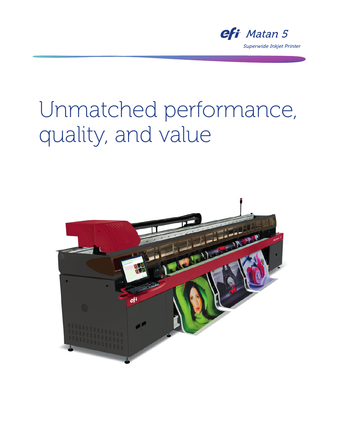

# Unmatched performance, quality, and value

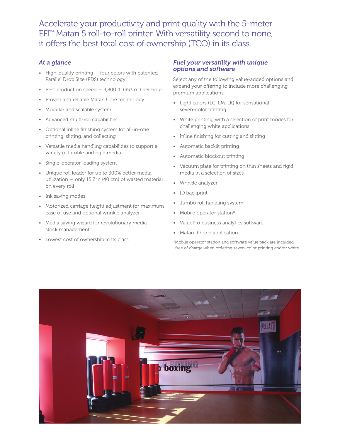Accelerate your productivity and print quality with the 5-meter  $EFT^{m}$  Matan 5 roll-to-roll printer. With versatility second to none, it offers the best total cost of ownership (TCO) in its class.

## *At a glance*

- High-quality printing four colors with patented Parallel Drop Size (PDS) technology
- Best production speed  $-$  3,800 ft<sup>2</sup> (353 m<sup>2</sup>) per hour
- Proven and reliable Matan Core technology
- Modular and scalable system
- Advanced multi-roll capabilities
- Optional inline finishing system for all-in-one printing, slitting, and collecting
- Versatile media handling capabilities to support a variety of flexible and rigid media
- Single-operator loading system
- Unique roll loader for up to 300% better media utilization — only 15.7 in (40 cm) of wasted material on every roll
- Ink saving modes
- Motorized carriage height adjustment for maximum ease of use and optional wrinkle analyzer
- Media saving wizard for revolutionary media stock management
- Lowest cost of ownership in its class

#### *Fuel your versatility with unique options and software*

Select any of the following value-added options and expand your offering to include more challenging premium applications:

- Light colors (LC, LM, LK) for sensational seven-color printing
- White printing, with a selection of print modes for challenging white applications
- Inline finishing for cutting and slitting
- Automatic backlit printing
- Automatic blockout printing
- Vacuum plate for printing on thin sheets and rigid media in a selection of sizes
- Wrinkle analyzer
- ID backprint
- Jumbo roll handling system
- Mobile operator station\*
- ValuePro business analytics software
- Matan iPhone application
- \*Mobile operator station and software value pack are included free of charge when ordering seven-color printing and/or white

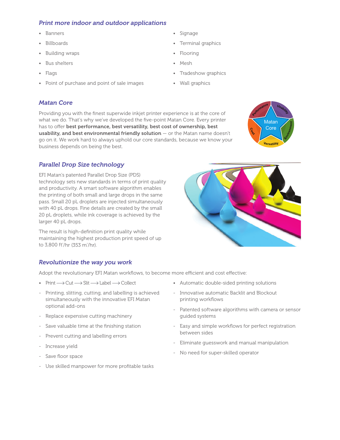## *Print more indoor and outdoor applications*

- Banners
- Billboards
- Building wraps
- Bus shelters
- Flags
- Point of purchase and point of sale images

#### *Matan Core*

Providing you with the finest superwide inkjet printer experience is at the core of what we do. That's why we've developed the five-point Matan Core. Every printer has to offer best performance, best versatility, best cost of ownership, best usability, and best environmental friendly solution  $-$  or the Matan name doesn't go on it. We work hard to always uphold our core standards, because we know your business depends on being the best.

• Signage

• Flooring • Mesh

• Terminal graphics

• Tradeshow graphics

• Wall graphics



#### *Parallel Drop Size technology*

EFI Matan's patented Parallel Drop Size (PDS) technology sets new standards in terms of print quality and productivity. A smart software algorithm enables the printing of both small and large drops in the same pass. Small 20 pL droplets are injected simultaneously with 40 pL drops. Fine details are created by the small 20 pL droplets, while ink coverage is achieved by the larger 40 pL drops.

The result is high-definition print quality while maintaining the highest production print speed of up to 3,800 ft<sup>2</sup>/hr (353 m<sup>2</sup>/hr).

#### *Revolutionize the way you work*

Adopt the revolutionary EFI Matan workflows, to become more efficient and cost effective:

- Print  $\longrightarrow$  Cut  $\longrightarrow$  Slit  $\longrightarrow$  Label  $\longrightarrow$  Collect
- Printing, slitting, cutting, and labelling is achieved simultaneously with the innovative EFI Matan optional add-ons
- Replace expensive cutting machinery
- Save valuable time at the finishing station
- Prevent cutting and labelling errors
- Increase yield
- Save floor space
- Use skilled manpower for more profitable tasks
- Automatic double-sided printing solutions
- Innovative automatic Backlit and Blockout printing workflows
- Patented software algorithms with camera or sensor guided systems
- Easy and simple workflows for perfect registration between sides
- Eliminate guesswork and manual manipulation
- No need for super-skilled operator